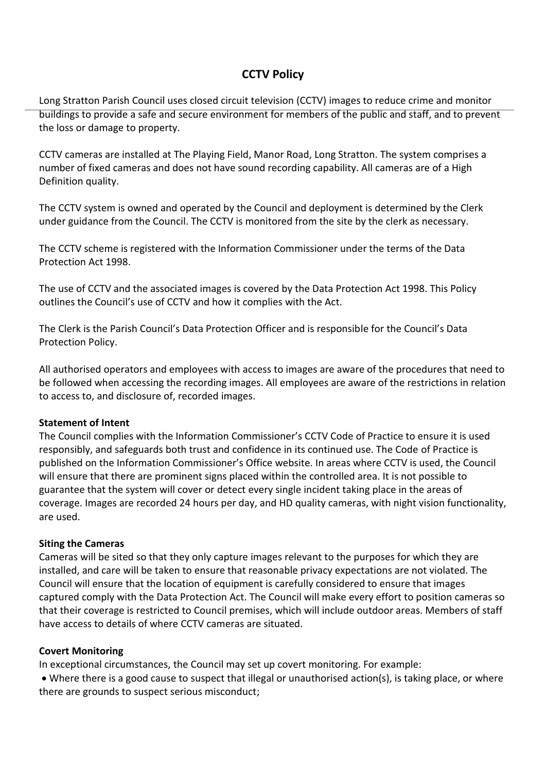# **CCTV Policy**

Long Stratton Parish Council uses closed circuit television (CCTV) images to reduce crime and monitor buildings to provide a safe and secure environment for members of the public and staff, and to prevent the loss or damage to property.

CCTV cameras are installed at The Playing Field, Manor Road, Long Stratton. The system comprises a number of fixed cameras and does not have sound recording capability. All cameras are of a High Definition quality.

The CCTV system is owned and operated by the Council and deployment is determined by the Clerk under guidance from the Council. The CCTV is monitored from the site by the clerk as necessary.

The CCTV scheme is registered with the Information Commissioner under the terms of the Data Protection Act 1998.

The use of CCTV and the associated images is covered by the Data Protection Act 1998. This Policy outlines the Council's use of CCTV and how it complies with the Act.

The Clerk is the Parish Council's Data Protection Officer and is responsible for the Council's Data Protection Policy.

All authorised operators and employees with access to images are aware of the procedures that need to be followed when accessing the recording images. All employees are aware of the restrictions in relation to access to, and disclosure of, recorded images.

### **Statement of Intent**

The Council complies with the Information Commissioner's CCTV Code of Practice to ensure it is used responsibly, and safeguards both trust and confidence in its continued use. The Code of Practice is published on the Information Commissioner's Office website. In areas where CCTV is used, the Council will ensure that there are prominent signs placed within the controlled area. It is not possible to guarantee that the system will cover or detect every single incident taking place in the areas of coverage. Images are recorded 24 hours per day, and HD quality cameras, with night vision functionality, are used.

### **Siting the Cameras**

Cameras will be sited so that they only capture images relevant to the purposes for which they are installed, and care will be taken to ensure that reasonable privacy expectations are not violated. The Council will ensure that the location of equipment is carefully considered to ensure that images captured comply with the Data Protection Act. The Council will make every effort to position cameras so that their coverage is restricted to Council premises, which will include outdoor areas. Members of staff have access to details of where CCTV cameras are situated.

### **Covert Monitoring**

In exceptional circumstances, the Council may set up covert monitoring. For example:

• Where there is a good cause to suspect that illegal or unauthorised action(s), is taking place, or where there are grounds to suspect serious misconduct;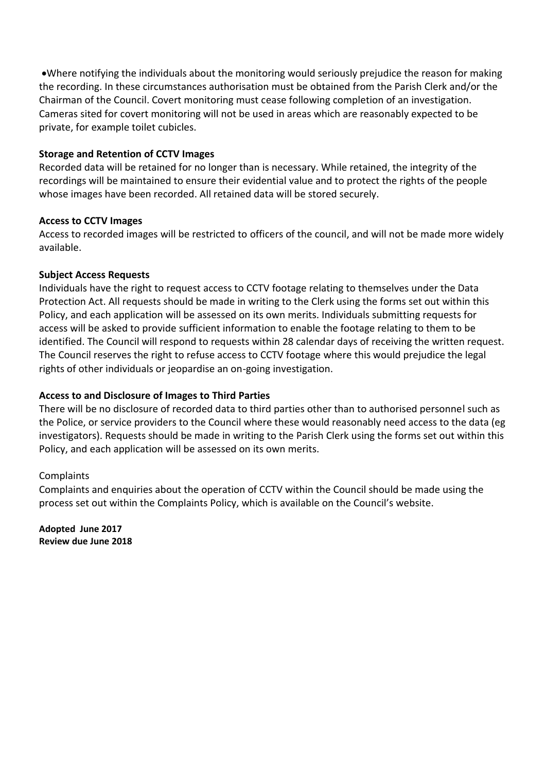•Where notifying the individuals about the monitoring would seriously prejudice the reason for making the recording. In these circumstances authorisation must be obtained from the Parish Clerk and/or the Chairman of the Council. Covert monitoring must cease following completion of an investigation. Cameras sited for covert monitoring will not be used in areas which are reasonably expected to be private, for example toilet cubicles.

### **Storage and Retention of CCTV Images**

Recorded data will be retained for no longer than is necessary. While retained, the integrity of the recordings will be maintained to ensure their evidential value and to protect the rights of the people whose images have been recorded. All retained data will be stored securely.

### **Access to CCTV Images**

Access to recorded images will be restricted to officers of the council, and will not be made more widely available.

### **Subject Access Requests**

Individuals have the right to request access to CCTV footage relating to themselves under the Data Protection Act. All requests should be made in writing to the Clerk using the forms set out within this Policy, and each application will be assessed on its own merits. Individuals submitting requests for access will be asked to provide sufficient information to enable the footage relating to them to be identified. The Council will respond to requests within 28 calendar days of receiving the written request. The Council reserves the right to refuse access to CCTV footage where this would prejudice the legal rights of other individuals or jeopardise an on-going investigation.

### **Access to and Disclosure of Images to Third Parties**

There will be no disclosure of recorded data to third parties other than to authorised personnel such as the Police, or service providers to the Council where these would reasonably need access to the data (eg investigators). Requests should be made in writing to the Parish Clerk using the forms set out within this Policy, and each application will be assessed on its own merits.

### Complaints

Complaints and enquiries about the operation of CCTV within the Council should be made using the process set out within the Complaints Policy, which is available on the Council's website.

**Adopted June 2017 Review due June 2018**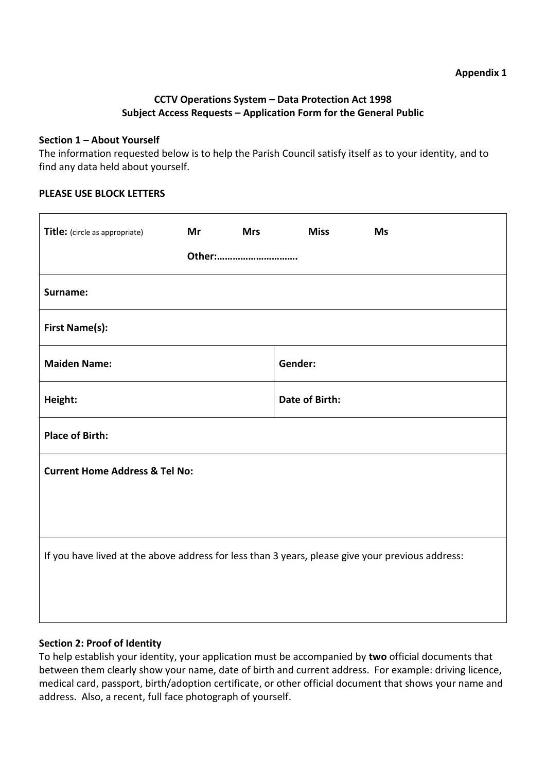### **CCTV Operations System – Data Protection Act 1998 Subject Access Requests – Application Form for the General Public**

### **Section 1 – About Yourself**

The information requested below is to help the Parish Council satisfy itself as to your identity, and to find any data held about yourself.

### **PLEASE USE BLOCK LETTERS**

| Title: (circle as appropriate)                                                                   | Mr | <b>Mrs</b>            | <b>Miss</b> | <b>Ms</b> |  |  |
|--------------------------------------------------------------------------------------------------|----|-----------------------|-------------|-----------|--|--|
| Other:                                                                                           |    |                       |             |           |  |  |
| Surname:                                                                                         |    |                       |             |           |  |  |
| <b>First Name(s):</b>                                                                            |    |                       |             |           |  |  |
| <b>Maiden Name:</b>                                                                              |    | Gender:               |             |           |  |  |
| Height:                                                                                          |    | <b>Date of Birth:</b> |             |           |  |  |
| <b>Place of Birth:</b>                                                                           |    |                       |             |           |  |  |
| <b>Current Home Address &amp; Tel No:</b>                                                        |    |                       |             |           |  |  |
|                                                                                                  |    |                       |             |           |  |  |
| If you have lived at the above address for less than 3 years, please give your previous address: |    |                       |             |           |  |  |
|                                                                                                  |    |                       |             |           |  |  |
|                                                                                                  |    |                       |             |           |  |  |

### **Section 2: Proof of Identity**

To help establish your identity, your application must be accompanied by **two** official documents that between them clearly show your name, date of birth and current address. For example: driving licence, medical card, passport, birth/adoption certificate, or other official document that shows your name and address. Also, a recent, full face photograph of yourself.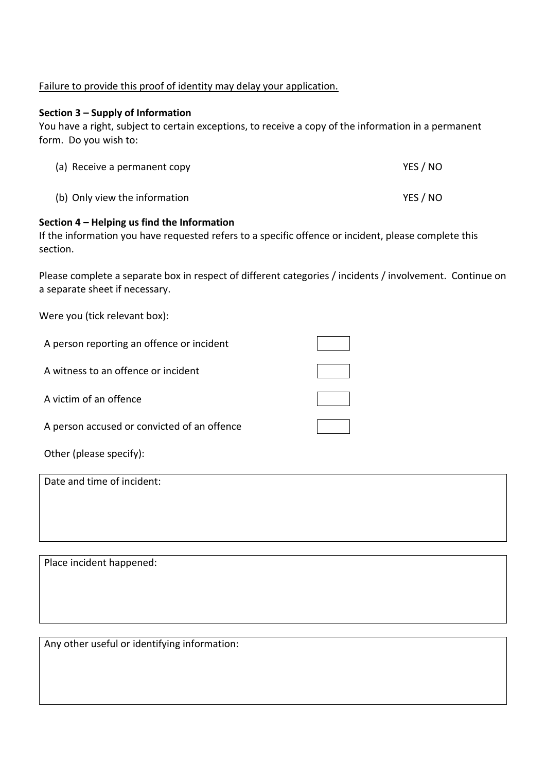### Failure to provide this proof of identity may delay your application.

### **Section 3 – Supply of Information**

You have a right, subject to certain exceptions, to receive a copy of the information in a permanent form. Do you wish to:

| (a) Receive a permanent copy  | YES / NO |
|-------------------------------|----------|
| (b) Only view the information | YES / NO |

### **Section 4 – Helping us find the Information**

If the information you have requested refers to a specific offence or incident, please complete this section.

Please complete a separate box in respect of different categories / incidents / involvement. Continue on a separate sheet if necessary.

Were you (tick relevant box):

| A person reporting an offence or incident |  |
|-------------------------------------------|--|
| A witness to an offence or incident       |  |
| A victim of an offence                    |  |

A person accused or convicted of an offence

Other (please specify):

Date and time of incident:

Place incident happened:

Any other useful or identifying information: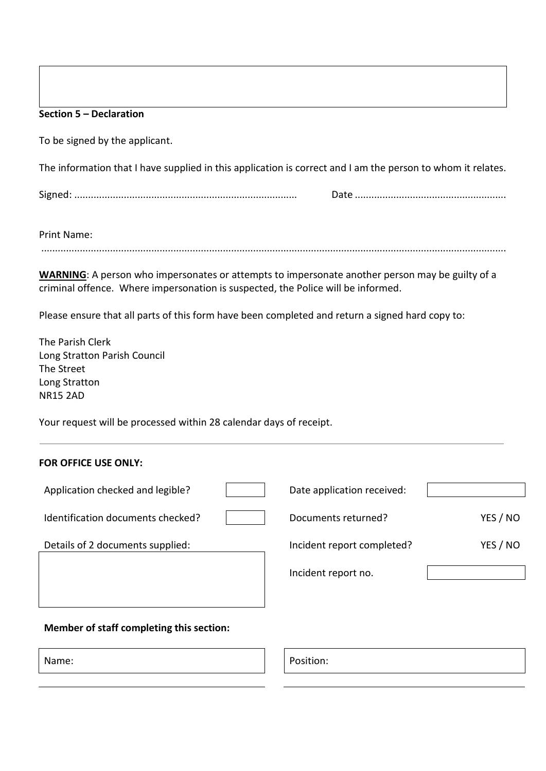#### **Section 5 – Declaration**

To be signed by the applicant.

The information that I have supplied in this application is correct and I am the person to whom it relates.

Signed: ................................................................................. Date .......................................................

Print Name:

.........................................................................................................................................................................

**WARNING**: A person who impersonates or attempts to impersonate another person may be guilty of a criminal offence. Where impersonation is suspected, the Police will be informed.

Please ensure that all parts of this form have been completed and return a signed hard copy to:

The Parish Clerk Long Stratton Parish Council The Street Long Stratton NR15 2AD

Your request will be processed within 28 calendar days of receipt.

### **FOR OFFICE USE ONLY:**

| Application checked and legible?  | Date application received: |          |
|-----------------------------------|----------------------------|----------|
| Identification documents checked? | Documents returned?        | YES / NO |

Incident report no.



### **Member of staff completing this section:**

Name: Position: